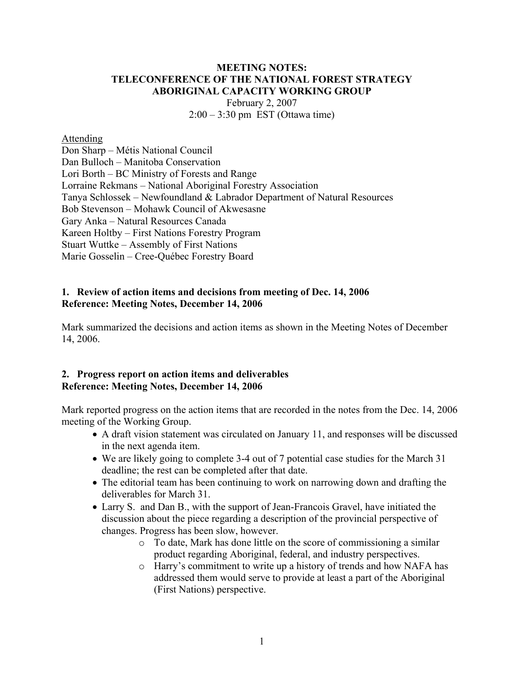### **MEETING NOTES: TELECONFERENCE OF THE NATIONAL FOREST STRATEGY ABORIGINAL CAPACITY WORKING GROUP**

February 2, 2007 2:00 – 3:30 pm EST (Ottawa time)

#### Attending

Don Sharp – Métis National Council Dan Bulloch – Manitoba Conservation Lori Borth – BC Ministry of Forests and Range Lorraine Rekmans – National Aboriginal Forestry Association Tanya Schlossek – Newfoundland & Labrador Department of Natural Resources Bob Stevenson – Mohawk Council of Akwesasne Gary Anka – Natural Resources Canada Kareen Holtby – First Nations Forestry Program Stuart Wuttke – Assembly of First Nations Marie Gosselin – Cree-Québec Forestry Board

### **1. Review of action items and decisions from meeting of Dec. 14, 2006 Reference: Meeting Notes, December 14, 2006**

Mark summarized the decisions and action items as shown in the Meeting Notes of December 14, 2006.

### **2. Progress report on action items and deliverables Reference: Meeting Notes, December 14, 2006**

Mark reported progress on the action items that are recorded in the notes from the Dec. 14, 2006 meeting of the Working Group.

- A draft vision statement was circulated on January 11, and responses will be discussed in the next agenda item.
- We are likely going to complete 3-4 out of 7 potential case studies for the March 31 deadline; the rest can be completed after that date.
- The editorial team has been continuing to work on narrowing down and drafting the deliverables for March 31.
- Larry S. and Dan B., with the support of Jean-Francois Gravel, have initiated the discussion about the piece regarding a description of the provincial perspective of changes. Progress has been slow, however.
	- o To date, Mark has done little on the score of commissioning a similar product regarding Aboriginal, federal, and industry perspectives.
	- o Harry's commitment to write up a history of trends and how NAFA has addressed them would serve to provide at least a part of the Aboriginal (First Nations) perspective.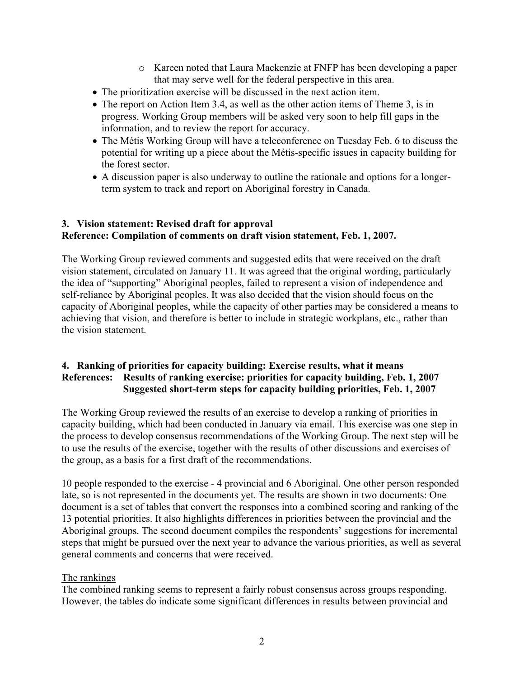- o Kareen noted that Laura Mackenzie at FNFP has been developing a paper that may serve well for the federal perspective in this area.
- The prioritization exercise will be discussed in the next action item.
- The report on Action Item 3.4, as well as the other action items of Theme 3, is in progress. Working Group members will be asked very soon to help fill gaps in the information, and to review the report for accuracy.
- The Métis Working Group will have a teleconference on Tuesday Feb. 6 to discuss the potential for writing up a piece about the Métis-specific issues in capacity building for the forest sector.
- A discussion paper is also underway to outline the rationale and options for a longerterm system to track and report on Aboriginal forestry in Canada.

## **3. Vision statement: Revised draft for approval Reference: Compilation of comments on draft vision statement, Feb. 1, 2007.**

The Working Group reviewed comments and suggested edits that were received on the draft vision statement, circulated on January 11. It was agreed that the original wording, particularly the idea of "supporting" Aboriginal peoples, failed to represent a vision of independence and self-reliance by Aboriginal peoples. It was also decided that the vision should focus on the capacity of Aboriginal peoples, while the capacity of other parties may be considered a means to achieving that vision, and therefore is better to include in strategic workplans, etc., rather than the vision statement.

## **4. Ranking of priorities for capacity building: Exercise results, what it means References: Results of ranking exercise: priorities for capacity building, Feb. 1, 2007 Suggested short-term steps for capacity building priorities, Feb. 1, 2007**

The Working Group reviewed the results of an exercise to develop a ranking of priorities in capacity building, which had been conducted in January via email. This exercise was one step in the process to develop consensus recommendations of the Working Group. The next step will be to use the results of the exercise, together with the results of other discussions and exercises of the group, as a basis for a first draft of the recommendations.

10 people responded to the exercise - 4 provincial and 6 Aboriginal. One other person responded late, so is not represented in the documents yet. The results are shown in two documents: One document is a set of tables that convert the responses into a combined scoring and ranking of the 13 potential priorities. It also highlights differences in priorities between the provincial and the Aboriginal groups. The second document compiles the respondents' suggestions for incremental steps that might be pursued over the next year to advance the various priorities, as well as several general comments and concerns that were received.

## The rankings

The combined ranking seems to represent a fairly robust consensus across groups responding. However, the tables do indicate some significant differences in results between provincial and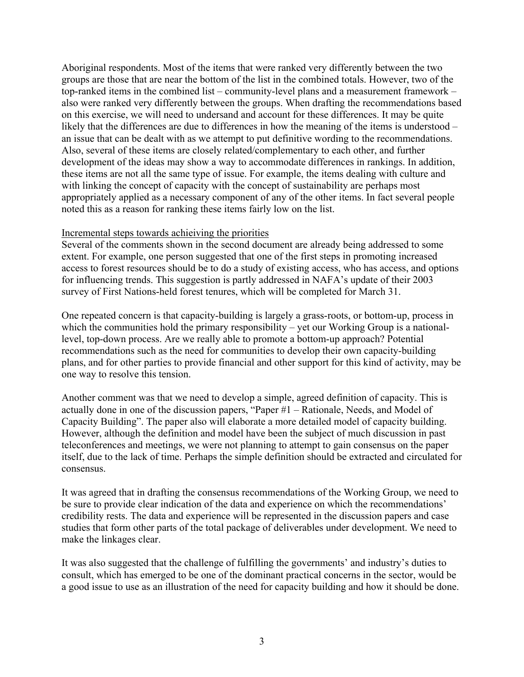Aboriginal respondents. Most of the items that were ranked very differently between the two groups are those that are near the bottom of the list in the combined totals. However, two of the top-ranked items in the combined list – community-level plans and a measurement framework – also were ranked very differently between the groups. When drafting the recommendations based on this exercise, we will need to undersand and account for these differences. It may be quite likely that the differences are due to differences in how the meaning of the items is understood – an issue that can be dealt with as we attempt to put definitive wording to the recommendations. Also, several of these items are closely related/complementary to each other, and further development of the ideas may show a way to accommodate differences in rankings. In addition, these items are not all the same type of issue. For example, the items dealing with culture and with linking the concept of capacity with the concept of sustainability are perhaps most appropriately applied as a necessary component of any of the other items. In fact several people noted this as a reason for ranking these items fairly low on the list.

#### Incremental steps towards achieiving the priorities

Several of the comments shown in the second document are already being addressed to some extent. For example, one person suggested that one of the first steps in promoting increased access to forest resources should be to do a study of existing access, who has access, and options for influencing trends. This suggestion is partly addressed in NAFA's update of their 2003 survey of First Nations-held forest tenures, which will be completed for March 31.

One repeated concern is that capacity-building is largely a grass-roots, or bottom-up, process in which the communities hold the primary responsibility – yet our Working Group is a nationallevel, top-down process. Are we really able to promote a bottom-up approach? Potential recommendations such as the need for communities to develop their own capacity-building plans, and for other parties to provide financial and other support for this kind of activity, may be one way to resolve this tension.

Another comment was that we need to develop a simple, agreed definition of capacity. This is actually done in one of the discussion papers, "Paper #1 – Rationale, Needs, and Model of Capacity Building". The paper also will elaborate a more detailed model of capacity building. However, although the definition and model have been the subject of much discussion in past teleconferences and meetings, we were not planning to attempt to gain consensus on the paper itself, due to the lack of time. Perhaps the simple definition should be extracted and circulated for consensus.

It was agreed that in drafting the consensus recommendations of the Working Group, we need to be sure to provide clear indication of the data and experience on which the recommendations' credibility rests. The data and experience will be represented in the discussion papers and case studies that form other parts of the total package of deliverables under development. We need to make the linkages clear.

It was also suggested that the challenge of fulfilling the governments' and industry's duties to consult, which has emerged to be one of the dominant practical concerns in the sector, would be a good issue to use as an illustration of the need for capacity building and how it should be done.